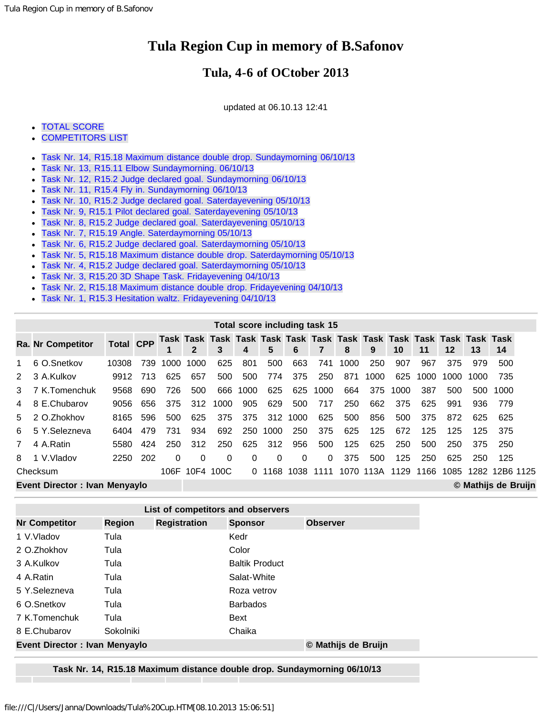## **Tula, 4-6 of OCtober 2013**

updated at 06.10.13 12:41

## [TOTAL SCORE](file:///C:/Users/Janna/Downloads/Tula%20Cup.HTM#TOTALSCR)

- [COMPETITORS LIST](file:///C:/Users/Janna/Downloads/Tula%20Cup.HTM#PILOTSNN)
- [Task Nr. 14, R15.18 Maximum distance double drop. Sundaymorning 06/10/13](file:///C:/Users/Janna/Downloads/Tula%20Cup.HTM#TASKNR15)  $\bullet$
- [Task Nr. 13, R15.11 Elbow Sundaymorning. 06/10/13](file:///C:/Users/Janna/Downloads/Tula%20Cup.HTM#TASKNR14)
- [Task Nr. 12, R15.2 Judge declared goal. Sundaymorning 06/10/13](file:///C:/Users/Janna/Downloads/Tula%20Cup.HTM#TASKNR13)
- [Task Nr. 11, R15.4 Fly in. Sundaymorning 06/10/13](file:///C:/Users/Janna/Downloads/Tula%20Cup.HTM#TASKNR12)
- [Task Nr. 10, R15.2 Judge declared goal. Saterdayevening 05/10/13](file:///C:/Users/Janna/Downloads/Tula%20Cup.HTM#TASKNR11)  $\bullet$
- [Task Nr. 9, R15.1 Pilot declared goal. Saterdayevening 05/10/13](file:///C:/Users/Janna/Downloads/Tula%20Cup.HTM#TASKNR10)
- [Task Nr. 8, R15.2 Judge declared goal. Saterdayevening 05/10/13](file:///C:/Users/Janna/Downloads/Tula%20Cup.HTM#TASKNR09)
- [Task Nr. 7, R15.19 Angle. Saterdaymorning 05/10/13](file:///C:/Users/Janna/Downloads/Tula%20Cup.HTM#TASKNR08)
- [Task Nr. 6, R15.2 Judge declared goal. Saterdaymorning 05/10/13](file:///C:/Users/Janna/Downloads/Tula%20Cup.HTM#TASKNR07)  $\bullet$
- [Task Nr. 5, R15.18 Maximum distance double drop. Saterdaymorning 05/10/13](file:///C:/Users/Janna/Downloads/Tula%20Cup.HTM#TASKNR06)
- [Task Nr. 4, R15.2 Judge declared goal. Saterdaymorning 05/10/13](file:///C:/Users/Janna/Downloads/Tula%20Cup.HTM#TASKNR05)
- [Task Nr. 3, R15.20 3D Shape Task. Fridayevening 04/10/13](file:///C:/Users/Janna/Downloads/Tula%20Cup.HTM#TASKNR03)
- [Task Nr. 2, R15.18 Maximum distance double drop. Fridayevening 04/10/13](file:///C:/Users/Janna/Downloads/Tula%20Cup.HTM#TASKNR02)
- [Task Nr. 1, R15.3 Hesitation waltz. Fridayevening 04/10/13](file:///C:/Users/Janna/Downloads/Tula%20Cup.HTM#TASKNR01)

|                | Total score including task 15        |                  |     |      |          |      |          |          |          |      |       |      |      |      |      |      |                     |
|----------------|--------------------------------------|------------------|-----|------|----------|------|----------|----------|----------|------|-------|------|------|------|------|------|---------------------|
|                | <b>Ra. Nr Competitor</b>             | <b>Total CPP</b> |     |      |          | 3    | 4        | 5        | 6        |      | 8     | 9    | 10   | 11   | 12   | 13   | 14                  |
| 1              | 6 O.Snetkov                          | 10308            | 739 | 1000 | 1000     | 625  | 801      | 500      | 663      | 741  | 1000  | 250  | 907  | 967  | 375  | 979  | 500                 |
| 2              | 3 A.Kulkov                           | 9912             | 713 | 625  | 657      | 500  | 500      | 774      | 375      | 250  | 871   | 1000 | 625  | 1000 | 1000 | 1000 | 735                 |
| 3              | 7 K.Tomenchuk                        | 9568             | 690 | 726  | 500      | 666  | 1000     | 625      | 625      | 1000 | 664   | 375  | 1000 | 387  | 500  | 500  | 1000                |
| 4              | 8 E.Chubarov                         | 9056             | 656 | 375  | 312      | 1000 | 905      | 629      | 500      | 717  | 250   | 662  | 375  | 625  | 991  | 936  | 779                 |
| 5              | 2 O.Zhokhov                          | 8165             | 596 | 500  | 625      | 375  | 375      | 312      | 1000     | 625  | 500   | 856  | 500  | 375  | 872  | 625  | 625                 |
| 6              | 5 Y.Selezneva                        | 6404             | 479 | 731  | 934      | 692  | 250      | 1000     | 250      | 375  | 625   | 125  | 672  | 125  | 125  | 125  | 375                 |
| $\overline{7}$ | 4 A.Ratin                            | 5580             | 424 | 250  | 312      | 250  | 625      | 312      | 956      | 500  | 125   | 625  | 250  | 500  | 250  | 375  | 250                 |
| 8              | 1 V.Vladov                           | 2250             | 202 | 0    | $\Omega$ | 0    | 0        | $\Omega$ | $\Omega$ | 0    | 375   | 500  | 125  | 250  | 625  | 250  | 125                 |
|                | Checksum                             |                  |     | 106F | 10F4     | 100C | $\Omega$ | 1168     | 1038     | 1111 | 1070. | 113A | 1129 | 1166 | 1085 | 1282 | 12B6 1125           |
|                | <b>Event Director: Ivan Menyaylo</b> |                  |     |      |          |      |          |          |          |      |       |      |      |      |      |      | © Mathijs de Bruijn |

| List of competitors and observers |                                                             |                     |                       |                 |  |  |  |  |  |  |  |  |
|-----------------------------------|-------------------------------------------------------------|---------------------|-----------------------|-----------------|--|--|--|--|--|--|--|--|
| <b>Nr Competitor</b>              | <b>Region</b>                                               | <b>Registration</b> | <b>Sponsor</b>        | <b>Observer</b> |  |  |  |  |  |  |  |  |
| 1 V.Vladov                        | Tula                                                        |                     | Kedr                  |                 |  |  |  |  |  |  |  |  |
| 2 O.Zhokhov                       | Tula                                                        |                     | Color                 |                 |  |  |  |  |  |  |  |  |
| 3 A.Kulkov                        | Tula                                                        |                     | <b>Baltik Product</b> |                 |  |  |  |  |  |  |  |  |
| 4 A.Ratin                         | Tula                                                        |                     | Salat-White           |                 |  |  |  |  |  |  |  |  |
| 5 Y.Selezneva                     | Tula                                                        |                     | Roza vetrov           |                 |  |  |  |  |  |  |  |  |
| 6 O.Snetkov                       | Tula                                                        |                     | <b>Barbados</b>       |                 |  |  |  |  |  |  |  |  |
| 7 K.Tomenchuk                     | Tula                                                        |                     | Bext                  |                 |  |  |  |  |  |  |  |  |
| 8 E.Chubarov                      | Sokolniki                                                   |                     | Chaika                |                 |  |  |  |  |  |  |  |  |
|                                   | <b>Event Director: Ivan Menyaylo</b><br>© Mathijs de Bruijn |                     |                       |                 |  |  |  |  |  |  |  |  |

**Task Nr. 14, R15.18 Maximum distance double drop. Sundaymorning 06/10/13**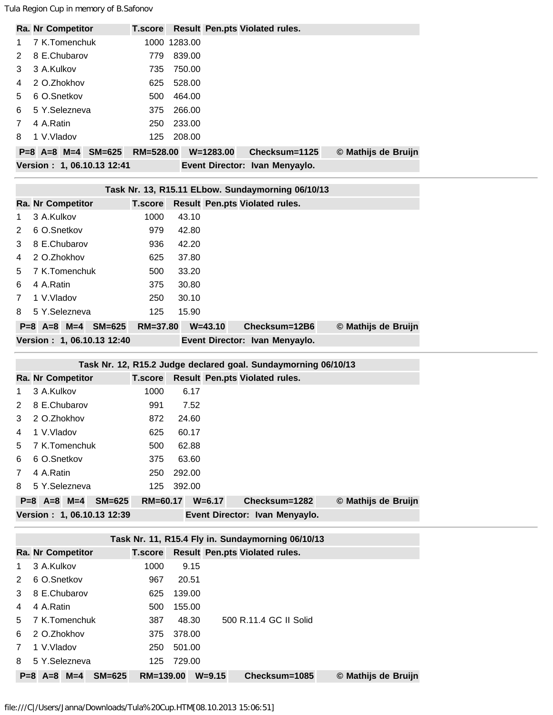|              | <b>Ra. Nr Competitor</b>   | <b>T.score</b> |              |               | <b>Result Pen.pts Violated rules.</b> |                     |
|--------------|----------------------------|----------------|--------------|---------------|---------------------------------------|---------------------|
| $\mathbf 1$  | 7 K.Tomenchuk              |                | 1000 1283.00 |               |                                       |                     |
| 2            | 8 E.Chubarov               | 779            | 839.00       |               |                                       |                     |
| 3            | 3 A.Kulkov                 | 735            | 750.00       |               |                                       |                     |
| 4            | 2 O.Zhokhov                | 625            | 528.00       |               |                                       |                     |
| 5.           | 6 O.Snetkov                | 500            | 464.00       |               |                                       |                     |
| 6.           | 5 Y.Selezneva              | 375            | 266.00       |               |                                       |                     |
| $\mathbf{7}$ | 4 A.Ratin                  | 250            | 233.00       |               |                                       |                     |
| 8            | 1 V.Vladov                 | 125            | 208.00       |               |                                       |                     |
|              | $P=8$ A=8 M=4 SM=625       | RM=528.00      |              | $W = 1283.00$ | Checksum=1125                         | © Mathijs de Bruijn |
|              | Version: 1, 06.10.13 12:41 |                |              |               | Event Director: Ivan Menyaylo.        |                     |

| Task Nr. 13, R15.11 ELbow. Sundaymorning 06/10/13            |                          |                |       |             |                                |                     |  |  |  |  |  |  |
|--------------------------------------------------------------|--------------------------|----------------|-------|-------------|--------------------------------|---------------------|--|--|--|--|--|--|
|                                                              | <b>Ra. Nr Competitor</b> | <b>T.score</b> |       |             | Result Pen.pts Violated rules. |                     |  |  |  |  |  |  |
|                                                              | 3 A.Kulkov               | 1000           | 43.10 |             |                                |                     |  |  |  |  |  |  |
| 2                                                            | 6 O.Snetkov              | 979            | 42.80 |             |                                |                     |  |  |  |  |  |  |
| 3                                                            | 8 E.Chubarov             | 936            | 42.20 |             |                                |                     |  |  |  |  |  |  |
| 4                                                            | 2 O.Zhokhov              | 625            | 37.80 |             |                                |                     |  |  |  |  |  |  |
| 5.                                                           | 7 K.Tomenchuk            | 500            | 33.20 |             |                                |                     |  |  |  |  |  |  |
| 6                                                            | 4 A.Ratin                | 375            | 30.80 |             |                                |                     |  |  |  |  |  |  |
| $\mathbf{7}$                                                 | 1 V.Vladov               | 250            | 30.10 |             |                                |                     |  |  |  |  |  |  |
| 8                                                            | 5 Y.Selezneva            | 125            | 15.90 |             |                                |                     |  |  |  |  |  |  |
|                                                              | $P=8$ A=8 M=4 SM=625     | RM=37.80       |       | $W = 43.10$ | Checksum=12B6                  | © Mathijs de Bruijn |  |  |  |  |  |  |
| Version: 1, 06.10.13 12:40<br>Event Director: Ivan Menyaylo. |                          |                |       |             |                                |                     |  |  |  |  |  |  |

|                | Task Nr. 12, R15.2 Judge declared goal. Sundaymorning 06/10/13 |                |        |                                |                     |  |  |  |  |  |  |  |  |
|----------------|----------------------------------------------------------------|----------------|--------|--------------------------------|---------------------|--|--|--|--|--|--|--|--|
|                | <b>Ra. Nr Competitor</b>                                       | <b>T.score</b> |        | Result Pen.pts Violated rules. |                     |  |  |  |  |  |  |  |  |
| 1              | 3 A.Kulkov                                                     | 1000           | 6.17   |                                |                     |  |  |  |  |  |  |  |  |
| 2              | 8 E.Chubarov                                                   | 991            | 7.52   |                                |                     |  |  |  |  |  |  |  |  |
| 3              | 2 O.Zhokhov                                                    | 872            | 24.60  |                                |                     |  |  |  |  |  |  |  |  |
| 4              | 1 V.Vladov                                                     | 625            | 60.17  |                                |                     |  |  |  |  |  |  |  |  |
| 5.             | 7 K.Tomenchuk                                                  | 500            | 62.88  |                                |                     |  |  |  |  |  |  |  |  |
| 6              | 6 O.Snetkov                                                    | 375            | 63.60  |                                |                     |  |  |  |  |  |  |  |  |
| $\overline{7}$ | 4 A.Ratin                                                      | 250            | 292.00 |                                |                     |  |  |  |  |  |  |  |  |
| 8              | 5 Y.Selezneva                                                  | 125            | 392.00 |                                |                     |  |  |  |  |  |  |  |  |
|                | $SM=625$<br>$P=8$ A=8 M=4                                      | $RM = 60.17$   |        | Checksum=1282<br>$W = 6.17$    | © Mathijs de Bruijn |  |  |  |  |  |  |  |  |
|                | Version: 1, 06.10.13 12:39                                     |                |        | Event Director: Ivan Menyaylo. |                     |  |  |  |  |  |  |  |  |

|    | Task Nr. 11, R15.4 Fly in. Sundaymorning 06/10/13 |                |        |                                                    |  |  |  |  |  |  |  |  |  |
|----|---------------------------------------------------|----------------|--------|----------------------------------------------------|--|--|--|--|--|--|--|--|--|
|    | <b>Ra. Nr Competitor</b>                          | <b>T.score</b> |        | <b>Result Pen.pts Violated rules.</b>              |  |  |  |  |  |  |  |  |  |
| 1  | 3 A.Kulkov                                        | 1000           | 9.15   |                                                    |  |  |  |  |  |  |  |  |  |
| 2  | 6 O.Snetkov                                       | 967            | 20.51  |                                                    |  |  |  |  |  |  |  |  |  |
| 3  | 8 E.Chubarov                                      | 625            | 139.00 |                                                    |  |  |  |  |  |  |  |  |  |
| 4  | 4 A.Ratin                                         | 500            | 155.00 |                                                    |  |  |  |  |  |  |  |  |  |
| 5. | 7 K.Tomenchuk                                     | 387            | 48.30  | 500 R 11 4 GC II Solid                             |  |  |  |  |  |  |  |  |  |
| 6  | 2 O.Zhokhov                                       | 375            | 378.00 |                                                    |  |  |  |  |  |  |  |  |  |
|    | 1 V.Vladov                                        | 250            | 501.00 |                                                    |  |  |  |  |  |  |  |  |  |
| 8  | 5 Y.Selezneva                                     | 125            | 729.00 |                                                    |  |  |  |  |  |  |  |  |  |
|    | $SM=625$<br>$P=8$ $A=8$ $M=4$                     | RM=139.00      |        | $W = 9.15$<br>© Mathijs de Bruijn<br>Checksum=1085 |  |  |  |  |  |  |  |  |  |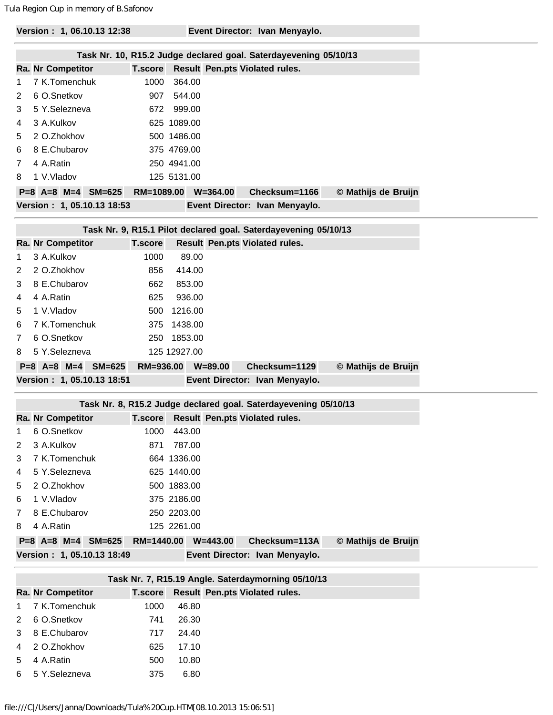|    | Version: 1, 06.10.13 12:38 |            |             |              | Event Director: Ivan Menyaylo.                                   |                     |
|----|----------------------------|------------|-------------|--------------|------------------------------------------------------------------|---------------------|
|    |                            |            |             |              | Task Nr. 10, R15.2 Judge declared goal. Saterdayevening 05/10/13 |                     |
|    | <b>Ra. Nr Competitor</b>   | T.score    |             |              | <b>Result Pen.pts Violated rules.</b>                            |                     |
|    | 7 K.Tomenchuk              | 1000       | 364.00      |              |                                                                  |                     |
| 2  | 6 O.Snetkov                | 907        | 544.00      |              |                                                                  |                     |
| 3  | 5 Y.Selezneva              |            | 672 999.00  |              |                                                                  |                     |
| 4  | 3 A.Kulkov                 |            | 625 1089.00 |              |                                                                  |                     |
| 5. | 2 O.Zhokhov                |            | 500 1486.00 |              |                                                                  |                     |
| 6. | 8 E.Chubarov               |            | 375 4769.00 |              |                                                                  |                     |
| 7  | 4 A.Ratin                  |            | 250 4941.00 |              |                                                                  |                     |
| 8  | 1 V.Vladov                 |            | 125 5131.00 |              |                                                                  |                     |
|    | $P=8$ A=8 M=4 SM=625       | RM=1089.00 |             | $W = 364.00$ | Checksum=1166                                                    | © Mathijs de Bruijn |
|    | Version: 1, 05.10.13 18:53 |            |             |              | Event Director: Ivan Menyaylo.                                   |                     |

| Task Nr. 9, R15.1 Pilot declared goal. Saterdayevening 05/10/13 |                                                              |                |              |             |                                |                     |  |  |  |  |  |  |
|-----------------------------------------------------------------|--------------------------------------------------------------|----------------|--------------|-------------|--------------------------------|---------------------|--|--|--|--|--|--|
|                                                                 | Ra. Nr Competitor                                            | <b>T.score</b> |              |             | Result Pen.pts Violated rules. |                     |  |  |  |  |  |  |
| $\mathbf 1$                                                     | 3 A.Kulkov                                                   | 1000           | 89.00        |             |                                |                     |  |  |  |  |  |  |
| 2                                                               | 2 O.Zhokhov                                                  | 856            | 414.00       |             |                                |                     |  |  |  |  |  |  |
| 3                                                               | 8 E.Chubarov                                                 | 662            | 853.00       |             |                                |                     |  |  |  |  |  |  |
| 4                                                               | 4 A.Ratin                                                    | 625            | 936.00       |             |                                |                     |  |  |  |  |  |  |
| 5.                                                              | 1 V.Vladov                                                   | 500            | 1216.00      |             |                                |                     |  |  |  |  |  |  |
| 6                                                               | 7 K.Tomenchuk                                                | 375            | 1438.00      |             |                                |                     |  |  |  |  |  |  |
| $\overline{7}$                                                  | 6 O.Snetkov                                                  | 250            | 1853.00      |             |                                |                     |  |  |  |  |  |  |
| 8                                                               | 5 Y.Selezneva                                                |                | 125 12927.00 |             |                                |                     |  |  |  |  |  |  |
|                                                                 | $P=8$ A=8 M=4<br>$SM=625$                                    | RM=936.00      |              | $W = 89.00$ | Checksum=1129                  | © Mathijs de Bruijn |  |  |  |  |  |  |
|                                                                 | Version: 1, 05.10.13 18:51<br>Event Director: Ivan Menyaylo. |                |              |             |                                |                     |  |  |  |  |  |  |

|             | Task Nr. 8, R15.2 Judge declared goal. Saterdayevening 05/10/13 |                |                                |                     |  |  |  |  |  |  |  |  |  |
|-------------|-----------------------------------------------------------------|----------------|--------------------------------|---------------------|--|--|--|--|--|--|--|--|--|
|             | <b>Ra. Nr Competitor</b>                                        | <b>T.score</b> | Result Pen.pts Violated rules. |                     |  |  |  |  |  |  |  |  |  |
| 1           | 6 O.Snetkov                                                     | 443.00<br>1000 |                                |                     |  |  |  |  |  |  |  |  |  |
| 2           | 3 A.Kulkov                                                      | 787.00<br>871  |                                |                     |  |  |  |  |  |  |  |  |  |
| 3           | 7 K.Tomenchuk                                                   | 664 1336.00    |                                |                     |  |  |  |  |  |  |  |  |  |
| 4           | 5 Y.Selezneva                                                   | 625 1440.00    |                                |                     |  |  |  |  |  |  |  |  |  |
| 5           | 2 O.Zhokhov                                                     | 500 1883.00    |                                |                     |  |  |  |  |  |  |  |  |  |
| 6           | 1 V.Vladov                                                      | 375 2186.00    |                                |                     |  |  |  |  |  |  |  |  |  |
| $7^{\circ}$ | 8 E.Chubarov                                                    | 250 2203.00    |                                |                     |  |  |  |  |  |  |  |  |  |
| 8           | 4 A.Ratin                                                       | 125 2261.00    |                                |                     |  |  |  |  |  |  |  |  |  |
|             | $P=8$ A=8 M=4 SM=625                                            | RM=1440.00     | $W = 443.00$<br>Checksum=113A  | © Mathijs de Bruijn |  |  |  |  |  |  |  |  |  |
|             | Version: 1, 05.10.13 18:49                                      |                | Event Director: Ivan Menyaylo. |                     |  |  |  |  |  |  |  |  |  |

|   | Task Nr. 7, R15.19 Angle. Saterdaymorning 05/10/13 |                |       |  |                                |  |  |  |  |  |  |  |  |
|---|----------------------------------------------------|----------------|-------|--|--------------------------------|--|--|--|--|--|--|--|--|
|   | <b>Ra. Nr Competitor</b>                           | <b>T.score</b> |       |  | Result Pen.pts Violated rules. |  |  |  |  |  |  |  |  |
|   | 7 K.Tomenchuk                                      | 1000           | 46.80 |  |                                |  |  |  |  |  |  |  |  |
| 2 | 6 O.Snetkov                                        | 741            | 26.30 |  |                                |  |  |  |  |  |  |  |  |
| 3 | 8 E.Chubarov                                       | 717            | 24.40 |  |                                |  |  |  |  |  |  |  |  |
| 4 | 2 O.Zhokhov                                        | 625            | 17.10 |  |                                |  |  |  |  |  |  |  |  |
| 5 | 4 A.Ratin                                          | 500            | 10.80 |  |                                |  |  |  |  |  |  |  |  |
| 6 | 5 Y.Selezneva                                      | 375            | 6.80  |  |                                |  |  |  |  |  |  |  |  |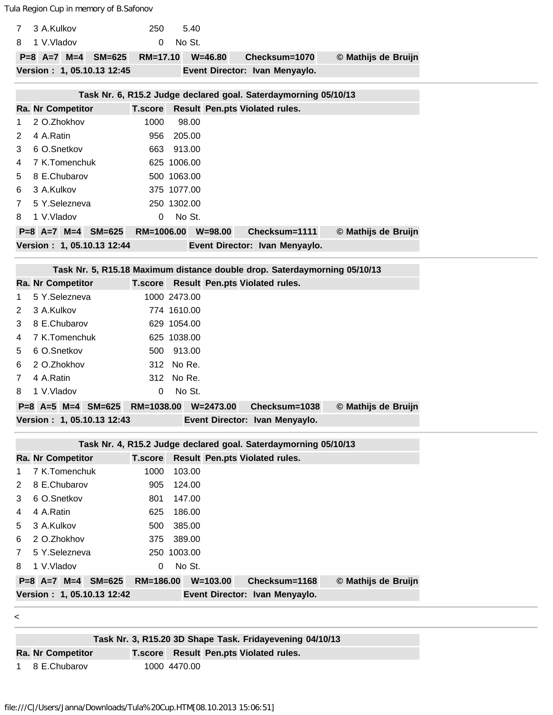|                                                              | 7 3 A.Kulkov |  |  | 250 | 5.40                                |               |                     |  |  |  |  |
|--------------------------------------------------------------|--------------|--|--|-----|-------------------------------------|---------------|---------------------|--|--|--|--|
|                                                              | 8 1 V.Vladov |  |  |     | 0 No St.                            |               |                     |  |  |  |  |
|                                                              |              |  |  |     | P=8 A=7 M=4 SM=625 RM=17.10 W=46.80 | Checksum=1070 | © Mathijs de Bruijn |  |  |  |  |
| Version: 1, 05.10.13 12:45<br>Event Director: Ivan Menyaylo. |              |  |  |     |                                     |               |                     |  |  |  |  |

|                | Task Nr. 6, R15.2 Judge declared goal. Saterdaymorning 05/10/13 |                |             |                                       |                                |                     |  |  |  |  |  |  |  |  |
|----------------|-----------------------------------------------------------------|----------------|-------------|---------------------------------------|--------------------------------|---------------------|--|--|--|--|--|--|--|--|
|                | <b>Ra. Nr Competitor</b>                                        | <b>T.score</b> |             | <b>Result Pen.pts Violated rules.</b> |                                |                     |  |  |  |  |  |  |  |  |
| 1              | 2 O.Zhokhov                                                     | 1000           | 98.00       |                                       |                                |                     |  |  |  |  |  |  |  |  |
| 2              | 4 A.Ratin                                                       | 956            | 205.00      |                                       |                                |                     |  |  |  |  |  |  |  |  |
| 3              | 6 O.Snetkov                                                     | 663            | 913.00      |                                       |                                |                     |  |  |  |  |  |  |  |  |
| $\overline{4}$ | 7 K.Tomenchuk                                                   |                | 625 1006.00 |                                       |                                |                     |  |  |  |  |  |  |  |  |
| .5             | 8 E.Chubarov                                                    |                | 500 1063.00 |                                       |                                |                     |  |  |  |  |  |  |  |  |
| 6              | 3 A.Kulkov                                                      |                | 375 1077.00 |                                       |                                |                     |  |  |  |  |  |  |  |  |
| $\overline{7}$ | 5 Y.Selezneva                                                   |                | 250 1302.00 |                                       |                                |                     |  |  |  |  |  |  |  |  |
| 8              | 1 V.Vladov                                                      | 0              | No St.      |                                       |                                |                     |  |  |  |  |  |  |  |  |
|                | $P=8$ A=7 M=4<br>$SM=625$                                       | RM=1006.00     |             | $W = 98.00$                           | Checksum=1111                  | © Mathijs de Bruijn |  |  |  |  |  |  |  |  |
|                | Version: 1, 05.10.13 12:44                                      |                |             |                                       | Event Director: Ivan Menyaylo. |                     |  |  |  |  |  |  |  |  |

| Task Nr. 5, R15.18 Maximum distance double drop. Saterdaymorning 05/10/13 |                                                              |                                 |     |                                        |               |  |               |                     |  |
|---------------------------------------------------------------------------|--------------------------------------------------------------|---------------------------------|-----|----------------------------------------|---------------|--|---------------|---------------------|--|
|                                                                           | <b>Ra. Nr Competitor</b>                                     |                                 |     | T.score Result Pen.pts Violated rules. |               |  |               |                     |  |
|                                                                           | 5 Y.Selezneva                                                |                                 |     | 1000 2473.00                           |               |  |               |                     |  |
| 2                                                                         | 3 A.Kulkov                                                   |                                 |     | 774 1610.00                            |               |  |               |                     |  |
| 3                                                                         | 8 E.Chubarov                                                 |                                 |     | 629 1054.00                            |               |  |               |                     |  |
| 4                                                                         | 7 K.Tomenchuk                                                |                                 |     | 625 1038.00                            |               |  |               |                     |  |
| 5.                                                                        | 6 O.Snetkov                                                  |                                 | 500 | 913.00                                 |               |  |               |                     |  |
| 6                                                                         | 2 O.Zhokhov                                                  |                                 | 312 | No Re.                                 |               |  |               |                     |  |
| 7                                                                         | 4 A.Ratin                                                    |                                 | 312 | No Re.                                 |               |  |               |                     |  |
| 8                                                                         | 1 V.Vladov                                                   |                                 | 0   | No St.                                 |               |  |               |                     |  |
|                                                                           |                                                              | $P=8$ A=5 M=4 SM=625 RM=1038.00 |     |                                        | $W = 2473.00$ |  | Checksum=1038 | © Mathijs de Bruijn |  |
|                                                                           | Version: 1, 05.10.13 12:43<br>Event Director: Ivan Menyaylo. |                                 |     |                                        |               |  |               |                     |  |

| Task Nr. 4, R15.2 Judge declared goal. Saterdaymorning 05/10/13 |                                                              |  |                      |                |             |              |                                |  |                     |
|-----------------------------------------------------------------|--------------------------------------------------------------|--|----------------------|----------------|-------------|--------------|--------------------------------|--|---------------------|
|                                                                 | <b>Ra. Nr Competitor</b>                                     |  |                      | <b>T.score</b> |             |              | Result Pen.pts Violated rules. |  |                     |
| 1.                                                              | 7 K.Tomenchuk                                                |  |                      | 1000           | 103.00      |              |                                |  |                     |
| 2                                                               | 8 E.Chubarov                                                 |  |                      | 905            | 124.00      |              |                                |  |                     |
| 3                                                               | 6 O.Snetkov                                                  |  |                      | 801            | 147.00      |              |                                |  |                     |
| 4                                                               | 4 A.Ratin                                                    |  |                      | 625            | 186.00      |              |                                |  |                     |
| 5                                                               | 3 A.Kulkov                                                   |  |                      | 500            | 385.00      |              |                                |  |                     |
| 6                                                               | 2 O.Zhokhov                                                  |  | 375                  | 389.00         |             |              |                                |  |                     |
| $7^{\circ}$                                                     | 5 Y.Selezneva                                                |  |                      |                | 250 1003.00 |              |                                |  |                     |
| 8                                                               | 1 V.Vladov                                                   |  |                      | 0              | No St.      |              |                                |  |                     |
|                                                                 |                                                              |  | $P=8$ A=7 M=4 SM=625 | RM=186.00      |             | $W = 103.00$ | Checksum=1168                  |  | © Mathijs de Bruijn |
|                                                                 | Version: 1, 05.10.13 12:42<br>Event Director: Ivan Menyaylo. |  |                      |                |             |              |                                |  |                     |

 $\,<$ 

| Task Nr. 3, R15.20 3D Shape Task. Fridayevening 04/10/13 |                          |  |              |  |                                        |  |  |  |
|----------------------------------------------------------|--------------------------|--|--------------|--|----------------------------------------|--|--|--|
|                                                          | <b>Ra. Nr Competitor</b> |  |              |  | T.score Result Pen.pts Violated rules. |  |  |  |
|                                                          | 1 8 E.Chubarov           |  | 1000 4470.00 |  |                                        |  |  |  |